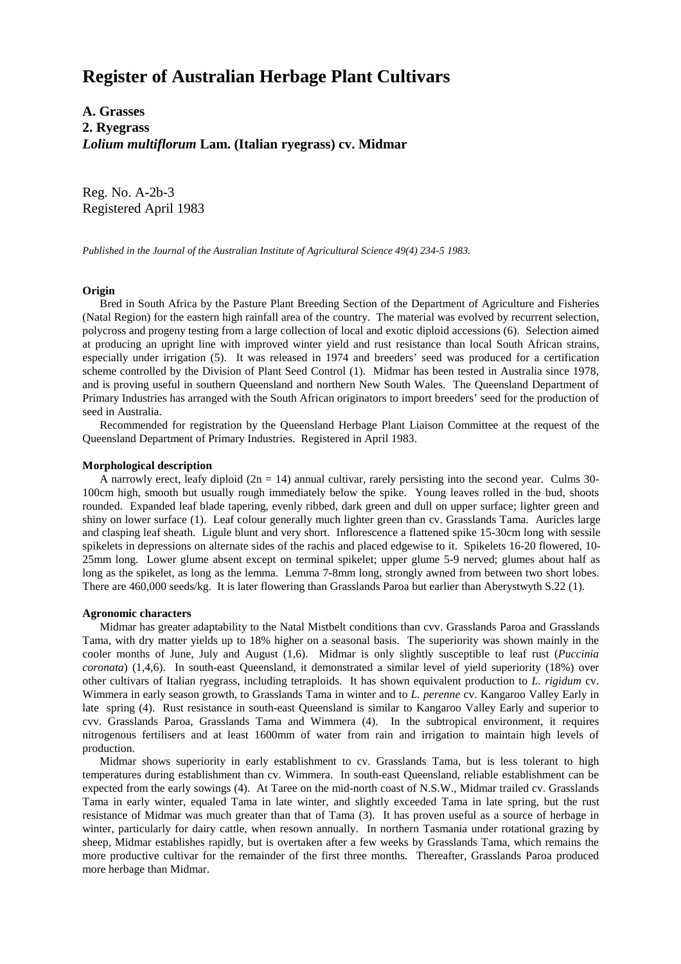# **Register of Australian Herbage Plant Cultivars**

**A. Grasses 2. Ryegrass** *Lolium multiflorum* **Lam. (Italian ryegrass) cv. Midmar**

Reg. No. A-2b-3 Registered April 1983

*Published in the Journal of the Australian Institute of Agricultural Science 49(4) 234-5 1983.*

### **Origin**

 Bred in South Africa by the Pasture Plant Breeding Section of the Department of Agriculture and Fisheries (Natal Region) for the eastern high rainfall area of the country. The material was evolved by recurrent selection, polycross and progeny testing from a large collection of local and exotic diploid accessions (6). Selection aimed at producing an upright line with improved winter yield and rust resistance than local South African strains, especially under irrigation (5). It was released in 1974 and breeders' seed was produced for a certification scheme controlled by the Division of Plant Seed Control (1). Midmar has been tested in Australia since 1978, and is proving useful in southern Queensland and northern New South Wales. The Queensland Department of Primary Industries has arranged with the South African originators to import breeders' seed for the production of seed in Australia.

 Recommended for registration by the Queensland Herbage Plant Liaison Committee at the request of the Queensland Department of Primary Industries. Registered in April 1983.

#### **Morphological description**

A narrowly erect, leafy diploid  $(2n = 14)$  annual cultivar, rarely persisting into the second year. Culms 30-100cm high, smooth but usually rough immediately below the spike. Young leaves rolled in the bud, shoots rounded. Expanded leaf blade tapering, evenly ribbed, dark green and dull on upper surface; lighter green and shiny on lower surface (1). Leaf colour generally much lighter green than cv. Grasslands Tama. Auricles large and clasping leaf sheath. Ligule blunt and very short. Inflorescence a flattened spike 15-30cm long with sessile spikelets in depressions on alternate sides of the rachis and placed edgewise to it. Spikelets 16-20 flowered, 10- 25mm long. Lower glume absent except on terminal spikelet; upper glume 5-9 nerved; glumes about half as long as the spikelet, as long as the lemma. Lemma 7-8mm long, strongly awned from between two short lobes. There are 460,000 seeds/kg. It is later flowering than Grasslands Paroa but earlier than Aberystwyth S.22 (1).

#### **Agronomic characters**

 Midmar has greater adaptability to the Natal Mistbelt conditions than cvv. Grasslands Paroa and Grasslands Tama, with dry matter yields up to 18% higher on a seasonal basis. The superiority was shown mainly in the cooler months of June, July and August (1,6). Midmar is only slightly susceptible to leaf rust (*Puccinia coronata*) (1,4,6). In south-east Queensland, it demonstrated a similar level of yield superiority (18%) over other cultivars of Italian ryegrass, including tetraploids. It has shown equivalent production to *L. rigidum* cv. Wimmera in early season growth, to Grasslands Tama in winter and to *L. perenne* cv. Kangaroo Valley Early in late spring (4). Rust resistance in south-east Queensland is similar to Kangaroo Valley Early and superior to cvv. Grasslands Paroa, Grasslands Tama and Wimmera (4). In the subtropical environment, it requires nitrogenous fertilisers and at least 1600mm of water from rain and irrigation to maintain high levels of production.

 Midmar shows superiority in early establishment to cv. Grasslands Tama, but is less tolerant to high temperatures during establishment than cv. Wimmera. In south-east Queensland, reliable establishment can be expected from the early sowings (4). At Taree on the mid-north coast of N.S.W., Midmar trailed cv. Grasslands Tama in early winter, equaled Tama in late winter, and slightly exceeded Tama in late spring, but the rust resistance of Midmar was much greater than that of Tama (3). It has proven useful as a source of herbage in winter, particularly for dairy cattle, when resown annually. In northern Tasmania under rotational grazing by sheep, Midmar establishes rapidly, but is overtaken after a few weeks by Grasslands Tama, which remains the more productive cultivar for the remainder of the first three months. Thereafter, Grasslands Paroa produced more herbage than Midmar.